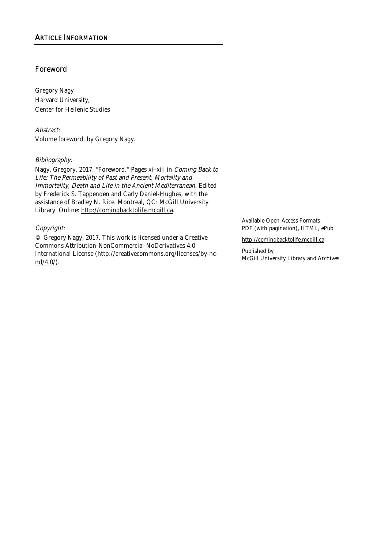# Foreword

Gregory Nagy Harvard University, Center for Hellenic Studies

Abstract: Volume foreword, by Gregory Nagy.

### Bibliography:

Nagy, Gregory. 2017. "Foreword." Pages xi–xiii in Coming Back to Life: The Permeability of Past and Present, Mortality and Immortality, Death and Life in the Ancient Mediterranean. Edited by Frederick S. Tappenden and Carly Daniel-Hughes, with the assistance of Bradley N. Rice. Montreal, QC: McGill University Library. Online: http://comingbacktolife.mcgill.ca.

### Copyright:

© Gregory Nagy, 2017. This work is licensed under a Creative Commons Attribution-NonCommercial-NoDerivatives 4.0 International License (http://creativecommons.org/licenses/by-ncnd/4.0/).

Available Open-Access Formats: PDF (with pagination), HTML, ePub

http://comingbacktolife.mcgill.ca

Published by McGill University Library and Archives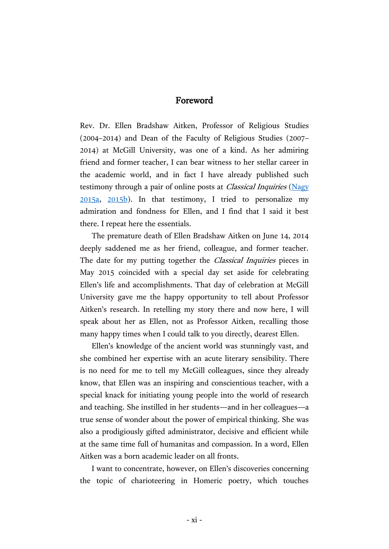# Foreword

Rev. Dr. Ellen Bradshaw Aitken, Professor of Religious Studies (2004–2014) and Dean of the Faculty of Religious Studies (2007– 2014) at McGill University, was one of a kind. As her admiring friend and former teacher, I can bear witness to her stellar career in the academic world, and in fact I have already published such testimony through a pair of online posts at *Classical Inquiries* (Nagy [2015a,](http://classical-inquiries.chs.harvard.edu/meriones-rides-again-an-alternative-model-for-a-heroic-charioteer/) [2015b\)](http://classical-inquiries.chs.harvard.edu/the-upgrading-of-meriones-from-chariot-driver-to-chariot-fighter/). In that testimony, I tried to personalize my admiration and fondness for Ellen, and I find that I said it best there. I repeat here the essentials.

The premature death of Ellen Bradshaw Aitken on June 14, 2014 deeply saddened me as her friend, colleague, and former teacher. The date for my putting together the *Classical Inquiries* pieces in May 2015 coincided with a special day set aside for celebrating Ellen's life and accomplishments. That day of celebration at McGill University gave me the happy opportunity to tell about Professor Aitken's research. In retelling my story there and now here, I will speak about her as Ellen, not as Professor Aitken, recalling those many happy times when I could talk to you directly, dearest Ellen.

Ellen's knowledge of the ancient world was stunningly vast, and she combined her expertise with an acute literary sensibility. There is no need for me to tell my McGill colleagues, since they already know, that Ellen was an inspiring and conscientious teacher, with a special knack for initiating young people into the world of research and teaching. She instilled in her students—and in her colleagues—a true sense of wonder about the power of empirical thinking. She was also a prodigiously gifted administrator, decisive and efficient while at the same time full of humanitas and compassion. In a word, Ellen Aitken was a born academic leader on all fronts.

I want to concentrate, however, on Ellen's discoveries concerning the topic of charioteering in Homeric poetry, which touches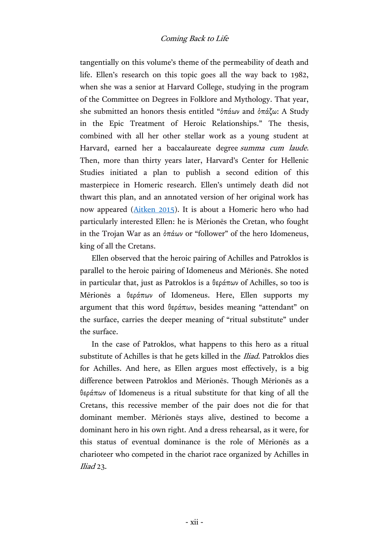tangentially on this volume's theme of the permeability of death and life. Ellen's research on this topic goes all the way back to 1982, when she was a senior at Harvard College, studying in the program of the Committee on Degrees in Folklore and Mythology. That year, she submitted an honors thesis entitled "ὀπάων and ὀπάζω: A Study in the Epic Treatment of Heroic Relationships." The thesis, combined with all her other stellar work as a young student at Harvard, earned her a baccalaureate degree summa cum laude. Then, more than thirty years later, Harvard's Center for Hellenic Studies initiated a plan to publish a second edition of this masterpiece in Homeric research. Ellen's untimely death did not thwart this plan, and an annotated version of her original work has now appeared [\(Aitken 2015\)](http://chs.harvard.edu/CHS/article/display/5984). It is about a Homeric hero who had particularly interested Ellen: he is Mērionēs the Cretan, who fought in the Trojan War as an ὀπάων or "follower" of the hero Idomeneus, king of all the Cretans.

Ellen observed that the heroic pairing of Achilles and Patroklos is parallel to the heroic pairing of Idomeneus and Mērionēs. She noted in particular that, just as Patroklos is a θεράπων of Achilles, so too is Mērionēs a θεράπων of Idomeneus. Here, Ellen supports my argument that this word θεράπων, besides meaning "attendant" on the surface, carries the deeper meaning of "ritual substitute" under the surface.

In the case of Patroklos, what happens to this hero as a ritual substitute of Achilles is that he gets killed in the *Iliad*. Patroklos dies for Achilles. And here, as Ellen argues most effectively, is a big difference between Patroklos and Mērionēs. Though Mērionēs as a θεράπων of Idomeneus is a ritual substitute for that king of all the Cretans, this recessive member of the pair does not die for that dominant member. Mērionēs stays alive, destined to become a dominant hero in his own right. And a dress rehearsal, as it were, for this status of eventual dominance is the role of Mērionēs as a charioteer who competed in the chariot race organized by Achilles in Iliad 23.